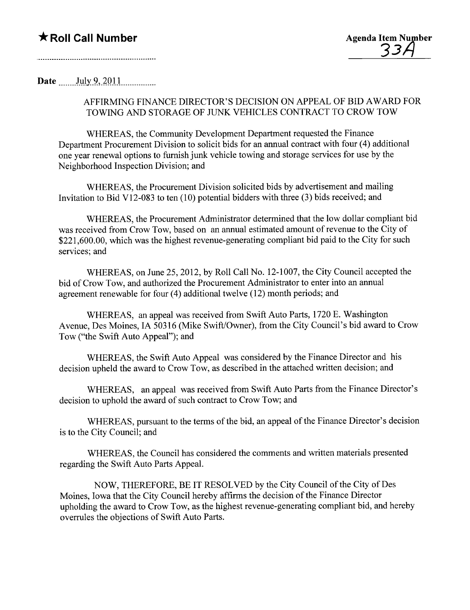## \* Roll Call Number Agenda Item Number

Date  $_{\text{July } 9, 2011}$ 

### AFFIRMING FINANCE DIRECTOR'S DECISION ON APPEAL OF BID A WARD FOR TOWING AND STORAGE OF JUNK VEHICLES CONTRACT TO CROW TOW

WHEREAS, the Community Development Department requested the Finance Department Procurement Division to solicit bids for an annual contract with four (4) additional one year renewal options to furnish junk vehicle towing and storage services for use by the Neighborhood Inspection Division; and

WHEREAS, the Procurement Division solicited bids by advertisement and mailing Invitation to Bid V12-083 to ten (10) potential bidders with three (3) bids received; and

WHEREAS, the Procurement Administrator determined that the low dollar compliant bid was received from Crow Tow, based on an anual estimated amount of revenue to the City of \$221,600.00, which was the highest revenue-generating compliant bid paid to the City for such services; and

WHEREAS, on June 25, 2012, by Roll Call No. 12-1007, the City Council accepted the bid of Crow Tow, and authorized the Procurement Administrator to enter into an annual agreement renewable for four (4) additional twelve (12) month periods; and

WHEREAS, an appeal was received from Swift Auto Parts, 1720 E. Washington Avenue, Des Moines, IA 50316 (Mike Swift/Owner), from the City Council's bid award to Crow Tow ("the Swift Auto Appeal"); and

WHEREAS, the Swift Auto Appeal was considered by the Finance Director and his decision upheld the award to Crow Tow, as described in the attached written decision; and

WHEREAS, an appeal was received from Swift Auto Parts from the Finance Director's decision to uphold the award of such contract to Crow Tow; and

WHEREAS, pursuant to the terms of the bid, an appeal of the Finance Director's decision is to the City Council; and

WHEREAS, the Council has considered the comments and written materials presented regarding the Swift Auto Pars AppeaL.

NOW, THEREFORE, BE IT RESOLVED by the City Council of the City of Des Moines, Iowa that the City Council hereby affrms the decision of the Finance Director upholding the award to Crow Tow, as the highest revenue-generating compliant bid, and hereby overrules the objections of Swift Auto Parts.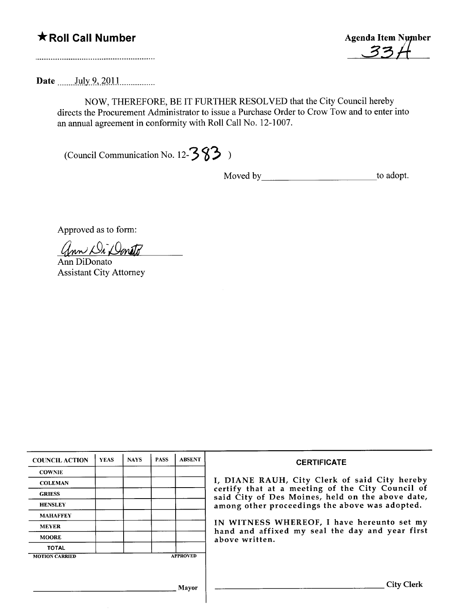

Date .... .mJ.llty.2,. ~QU. u.. uuu.....

NOW, THEREFORE, BE IT FURTHER RESOLVED that the City Council hereby directs the Procurement Administrator to issue a Purchase Order to Crow Tow and to enter into an anual agreement in conformity with Roll Call No. 12-1007.

(Council Communication No. 12- $\frac{3}{3}$ )

Moved by to adopt.

Approved as to form:

Ann Di Donato

Ann DiDonato Assistant City Attorney

| <b>COUNCIL ACTION</b> | <b>YEAS</b> | <b>NAYS</b> | <b>PASS</b> | <b>ABSENT</b>   | <b>CERTIFICATE</b>                                                                                   |
|-----------------------|-------------|-------------|-------------|-----------------|------------------------------------------------------------------------------------------------------|
| <b>COWNIE</b>         |             |             |             |                 |                                                                                                      |
| <b>COLEMAN</b>        |             |             |             |                 | I, DIANE RAUH, City Clerk of said City hereby                                                        |
| <b>GRIESS</b>         |             |             |             |                 | certify that at a meeting of the City Council of<br>said City of Des Moines, held on the above date, |
| <b>HENSLEY</b>        |             |             |             |                 | among other proceedings the above was adopted.                                                       |
| <b>MAHAFFEY</b>       |             |             |             |                 |                                                                                                      |
| <b>MEYER</b>          |             |             |             |                 | IN WITNESS WHEREOF, I have hereunto set my<br>hand and affixed my seal the day and year first        |
| <b>MOORE</b>          |             |             |             |                 | above written.                                                                                       |
| <b>TOTAL</b>          |             |             |             |                 |                                                                                                      |
| <b>MOTION CARRIED</b> |             |             |             | <b>APPROVED</b> |                                                                                                      |
|                       |             |             |             |                 |                                                                                                      |
|                       |             |             |             |                 |                                                                                                      |
|                       |             |             |             | Mavor           | City                                                                                                 |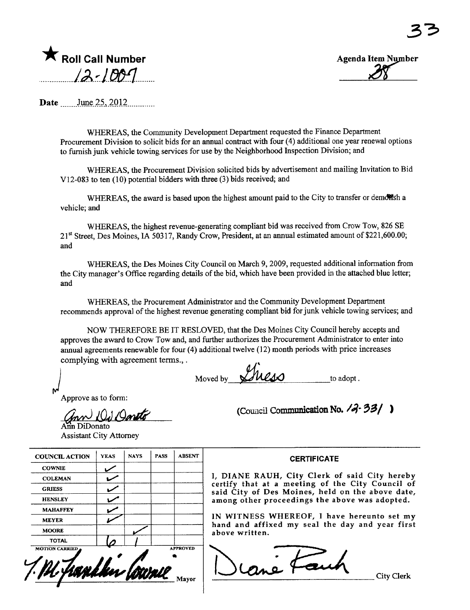



Date  $\frac{\text{June } 25, 2012 \dots}{\text{June } 25, 2012 \dots}$ 

WHEREAS, the Community Development Department requested the Finance Department Procurement Division to solicit bids for an anual contract with four (4) additional one year renewal options to furnish junk vehicle towing services for use by the Neighborhood Inspection Division; and

WHREAS, the Procurement Division solicited bids by advertisement and mailing Invitation to Bid V12-083 to ten (10) potential bidders with thee (3) bids received; and

WHEREAS, the award is based upon the highest amount paid to the City to transfer or demotion a vehicle; and

WHREAS, the highest revenue-generating compliant bid was received from Crow Tow, 826 SE 21<sup>st</sup> Street, Des Moines, IA 50317, Randy Crow, President, at an annual estimated amount of \$221,600.00; and

WHREAS, the Des Moines City Council on March 9, 2009, requested additional information from the City manager's Office regarding details of the bid, which have been provided in the attached blue letter; and

WHEREAS, the Procurement Administrator and the Community Development Department recommends approval of the highest revenue generating compliant bid for junk vehicle towing services; and

NOW THEREFORE BE IT RESLOVED, that the Des Moines City Council hereby accepts and approves the award to Crow Tow and, and further authorizes the Procurement Administrator to enter into annual agreements renewable for four (4) additional twelve (12) month periods with price increases complying with agreement terms., . elve (12)

Moved by to adopt.

Approve as to form:

 $\mathbf{M}$ 

for Di Doneto

**DiDonato Assistant City Attorney** 

| <b>COUNCIL ACTION</b> | <b>YEAS</b> | <b>NAYS</b> | <b>PASS</b> | <b>ABSENT</b>   | <b>CERTIFICATE</b>                                                                                   |
|-----------------------|-------------|-------------|-------------|-----------------|------------------------------------------------------------------------------------------------------|
| <b>COWNIE</b>         |             |             |             |                 |                                                                                                      |
| <b>COLEMAN</b>        |             |             |             |                 | I, DIANE RAUH, City Clerk of said City hereby                                                        |
| <b>GRIESS</b>         |             |             |             |                 | certify that at a meeting of the City Council of<br>said City of Des Moines, held on the above date, |
| <b>HENSLEY</b>        | مميا        |             |             |                 | among other proceedings the above was adopted.                                                       |
| <b>MAHAFFEY</b>       |             |             |             |                 |                                                                                                      |
| <b>MEYER</b>          |             |             |             |                 | IN WITNESS WHEREOF, I have hereunto set my<br>hand and affixed my seal the day and year first        |
| <b>MOORE</b>          |             |             |             |                 | above written.                                                                                       |
| <b>TOTAL</b>          |             |             |             |                 |                                                                                                      |
| <b>MOTION CARRIED</b> |             |             |             | <b>APPROVED</b> | City Clerk                                                                                           |

(Council Communication No.  $\sqrt{3}$  33/ )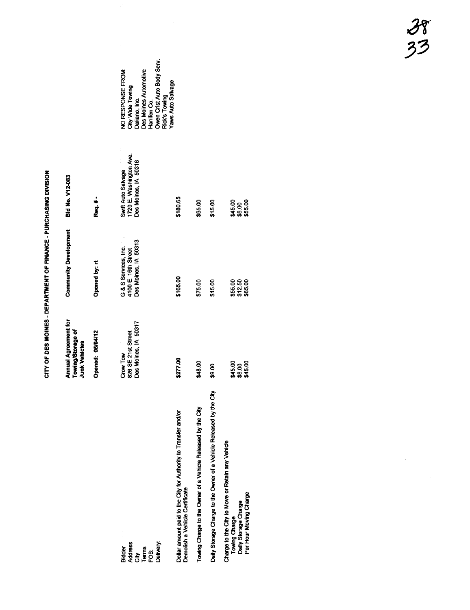|                                                                                                                     | <b>Annual Agreement for</b><br>Towing/Storage of<br><b>Junk Vehicles</b> | <b>Community Development</b>                                        | Bid No. V12-083                                                                                                                            |                                                                          |
|---------------------------------------------------------------------------------------------------------------------|--------------------------------------------------------------------------|---------------------------------------------------------------------|--------------------------------------------------------------------------------------------------------------------------------------------|--------------------------------------------------------------------------|
|                                                                                                                     | Opened: 05/04/12                                                         | Opened by: rt                                                       | Req. # -                                                                                                                                   |                                                                          |
| Delivery:<br><b>Address</b><br>Bidder<br>្ត<br>ក្រុម<br>ក្រុម                                                       | Des Moines, IA 50317<br>826 SE 21st Street<br>Crow Tow                   | Des Moines, IA 50313<br>G & S Services, Inc.<br>4100 E. 16th Street | City Wide Towing<br>Daliano, Inc.<br>Rick's Towing<br>Hanifen Co.<br>1720 E. Washington Ave.<br>Des Moines, IA 50316<br>Swift Auto Salvage | Owen Crist Auto Body Serv.<br>NO RESPONSE FROM:<br>Des Moines Automotive |
| Dollar amount paid to the City for Authority to Transfer and/or<br>Demolish a Vehicle Certificate                   | \$277.00                                                                 | \$165.00                                                            | \$180.65                                                                                                                                   | Yaws Auto Salvage                                                        |
| Towing Charge to the Owner of a Vehicle Released by the City                                                        | \$48.00                                                                  | \$75.00                                                             | \$65.00                                                                                                                                    |                                                                          |
| වි<br>Daily Storage Charge to the Owner of a Vehicle Released by the                                                | \$9.00                                                                   | \$15.00                                                             | \$15.00                                                                                                                                    |                                                                          |
| Charge to the City to Move or Retain any Vehicle<br>Per Hour Moving Charge<br>Towing Charge<br>Daily Storage Charge | \$45.00<br>\$8.00<br>\$45.00                                             | \$55.00<br>\$12.50<br>\$65.00                                       | \$45.00<br>\$55.00<br>\$8.00                                                                                                               |                                                                          |

CITY OF DES MOINES - DEPARTMENT OF FINANCE - PURCHASING DIVISION CITY OF DES MOINES - DEPARTMENT OF FIMENT OF PURCHASING DISTONS

 $\bar{\bar{z}}$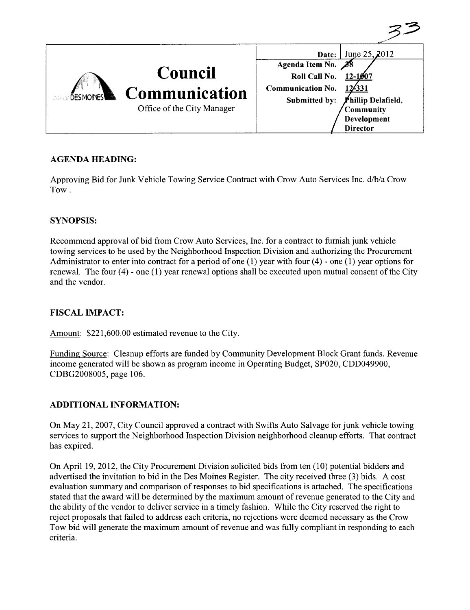| <b>DESMOINES</b> | <b>Council</b><br><b>Communication</b><br>Office of the City Manager | June 25, 2012<br>Date:<br>Agenda Item No.<br>Roll Call No.<br>$12 - 1007$<br><b>Communication No.</b><br>124331<br>Phillip Delafield,<br>Submitted by:<br><b>Community</b><br>Development<br><b>Director</b> |
|------------------|----------------------------------------------------------------------|--------------------------------------------------------------------------------------------------------------------------------------------------------------------------------------------------------------|

 $\mathcal{Z}$ 

### AGENDA HEADING:

Approving Bid for Junk Vehicle Towing Service Contract with Crow Auto Services Inc. d/b/a Crow Tow.

#### SYNOPSIS:

Recommend approval of bid from Crow Auto Services, Inc. for a contract to furnish junk vehicle towing services to be used by the Neighborhood Inspection Division and authorizing the Procurement Administrator to enter into contract for a period of one  $(1)$  year with four  $(4)$  - one  $(1)$  year options for renewaL. The four (4) - one (1) year renewal options shall be executed upon mutual consent of the City and the vendor.

#### FISCAL IMPACT:

Amount: \$221,600.00 estimated revenue to the City.

Funding Source: Cleanup efforts are funded by Community Development Block Grant funds. Revenue income generated will be shown as program income in Operating Budget, SP020, CDD049900, CDBG2008005, page 106.

#### ADDITIONAL INFORMATION:

On May 21, 2007, City Council approved a contract with Swifts Auto Salvage for junk vehicle towing services to support the Neighborhood Inspection Division neighborhood cleanup efforts. That contract has expired.

On April 19,2012, the City Procurement Division solicited bids from ten (10) potential bidders and advertised the invitation to bid in the Des Moines Register. The city received three (3) bids. A cost evaluation summary and comparison of responses to bid specifications is attached. The specifications stated that the award will be determined by the maximum amount of revenue generated to the City and the ability of the vendor to deliver service in a timely fashion. While the City reserved the right to reject proposals that failed to address each criteria, no rejections were deemed necessary as the Crow Tow bid will generate the maximum amount of revenue and was fully compliant in responding to each criteria.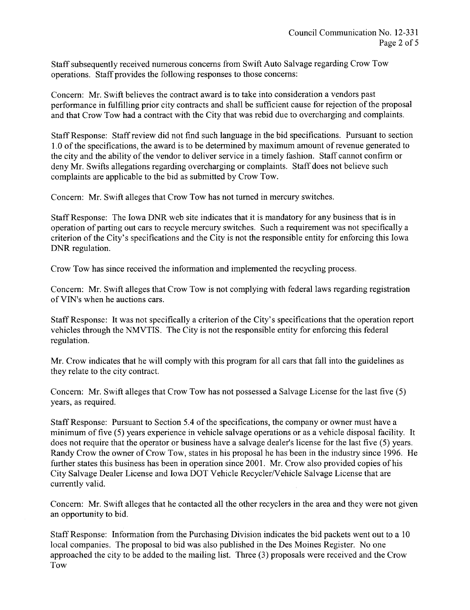Staff subsequently received numerous concerns from Swift Auto Salvage regarding Crow Tow operations. Staff provides the following responses to those concerns:

Concern: Mr. Swift believes the contract award is to take into consideration a vendors past performance in fulfilling prior city contracts and shall be sufficient cause for rejection of the proposal and that Crow Tow had a contract with the City that was rebid due to overcharging and complaints.

Staff Response: Staff review did not find such language in the bid specifications. Pursuant to section 1.0 of the specifications, the award is to be determined by maximum amount of revenue generated to the city and the ability of the vendor to deliver service in a timely fashion. Staff cannot confirm or deny Mr. Swifts allegations regarding overcharging or complaints. Staff does not believe such complaints are applicable to the bid as submitted by Crow Tow.

Concern: Mr. Swift alleges that Crow Tow has not turned in mercury switches.

Staff Response: The Iowa DNR web site indicates that it is mandatory for any business that is in operation of parting out cars to recycle mercury switches. Such a requirement was not specifically a criterion of the City's specifications and the City is not the responsible entity for enforcing this Iowa DNR regulation.

Crow Tow has since received the information and implemented the recycling process.

Concern: Mr. Swift alleges that Crow Tow is not complying with federal laws regarding registration ofVIN's when he auctions cars.

Staff Response: It was not specifically a criterion of the City's specifications that the operation report vehicles through the NMVTIS. The City is not the responsible entity for enforcing this federal regulation.

Mr. Crow indicates that he will comply with this program for all cars that fall into the guidelines as they relate to the city contract.

Concern: Mr. Swift alleges that Crow Tow has not possessed a Salvage License for the last five (5) years, as required.

Staff Response: Pursuant to Section 5.4 of the specifications, the company or owner must have a minimum of five (5) years experience in vehicle salvage operations or as a vehicle disposal facility. It does not require that the operator or business have a salvage dealer's license for the last five (5) years. Randy Crow the owner of Crow Tow, states in his proposal he has been in the industry since 1996. He further states this business has been in operation since 2001. Mr. Crow also provided copies of his City Salvage Dealer License and Iowa DOT Vehicle Recycler/Vehicle Salvage License that are currently valid.

Concern: Mr. Swift alleges that he contacted all the other recyclers in the area and they were not given an opportunity to bid.

Staff Response: Information from the Purchasing Division indicates the bid packets went out to a 10 local companies. The proposal to bid was also published in the Des Moines Register. No one approached the city to be added to the mailing list. Three (3) proposals were received and the Crow Tow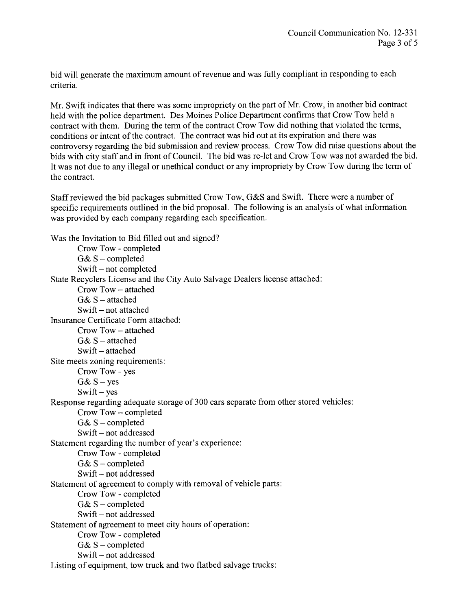bid will generate the maximum amount of revenue and was fully compliant in responding to each criteria.

Mr. Swift indicates that there was some impropriety on the part of Mr. Crow, in another bid contract held with the police department. Des Moines Police Department confirms that Crow Tow held a contract with them. During the term of the contract Crow Tow did nothing that violated the terms, conditions or intent of the contract. The contract was bid out at its expiration and there was controversy regarding the bid submission and review process. Crow Tow did raise questions about the bids with city staff and in front of Council. The bid was re-let and Crow Tow was not awarded the bid. It was not due to any ilegal or unethical conduct or any impropriety by Crow Tow during the term of the contract.

Staff reviewed the bid packages submitted Crow Tow, G&S and Swift. There were a number of specific requirements outlined in the bid proposal. The following is an analysis of what information was provided by each company regarding each specification.

Was the Invitation to Bid filled out and signed? Crow Tow - completed  $G& S$  – completed Swift - not completed State Recyclers License and the City Auto Salvage Dealers license attached: Crow Tow - attached  $G&S$  – attached Swift – not attached Insurance Certificate Form attached: Crow Tow - attached  $G&S$  – attached Swift - attached Site meets zoning requirements: Crow Tow - yes  $G&S - \text{ves}$  $Swift - yes$ Response regarding adequate storage of 300 cars separate from other stored vehicles: Crow Tow - completed G&  $S$  – completed Swift - not addressed Statement regarding the number of year's experience: Crow Tow - completed G& S - completed Swift – not addressed Statement of agreement to comply with removal of vehicle parts: Crow Tow - completed  $G& S$  - completed Swift - not addressed Statement of agreement to meet city hours of operation: Crow Tow - completed G&  $S$  – completed Swift - not addressed Listing of equipment, tow truck and two flatbed salvage trucks: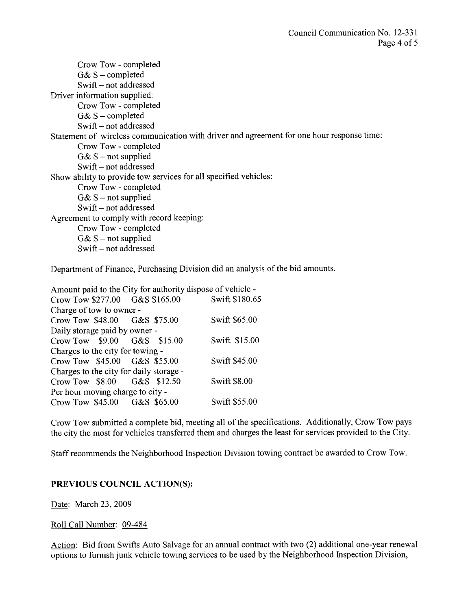Crow Tow - completed  $G& S$  - completed  $Swift - not addressed$ Driver information supplied: Crow Tow - completed  $G& S$  – completed Swift - not addressed Statement of wireless communication with driver and agreement for one hour response time: Crow Tow - completed  $G& S$  – not supplied Swift - not addressed Show ability to provide tow services for all specified vehicles: Crow Tow - completed  $G& S$  – not supplied Swift - not addressed Agreement to comply with record keeping: Crow Tow - completed  $G& S$  – not supplied Swift – not addressed

Department of Finance, Purchasing Division did an analysis of the bid amounts.

Amount paid to the City for authority dispose of vehicle -<br>Crow Tow \$277.00 G&S \$165.00 Swift \$180.65  $Crow$  Tow  $$277.00$ Charge of tow to owner - Crow Tow \$48.00 G&S \$75.00 Swift \$65.00 Daily storage paid by owner - Crow Tow \$9.00 G&S \$15.00 Swift \$15.00 Charges to the city for towing - Crow Tow \$45.00 G&S \$55.00 Swift \$45.00 Charges to the city for daily storage - Crow Tow \$8.00 G&S \$12.50 Swift \$8.00 Per hour moving charge to city - Crow Tow \$45.00 G&S \$65.00 Swift \$55.00

Crow Tow submitted a complete bid, meeting all of the specifications. Additionally, Crow Tow pays the city the most for vehicles transferred them and charges the least for services provided to the City.

Staff recommends the Neighborhood Inspection Division towing contract be awarded to Crow Tow.

#### PREVIOUS COUNCIL ACTION(S):

Date: March 23, 2009

Roll Call Number: 09-484

Action: Bid from Swifts Auto Salvage for an annual contract with two (2) additional one-year renewal options to furnish junk vehicle towing services to be used by the Neighborhood Inspection Division,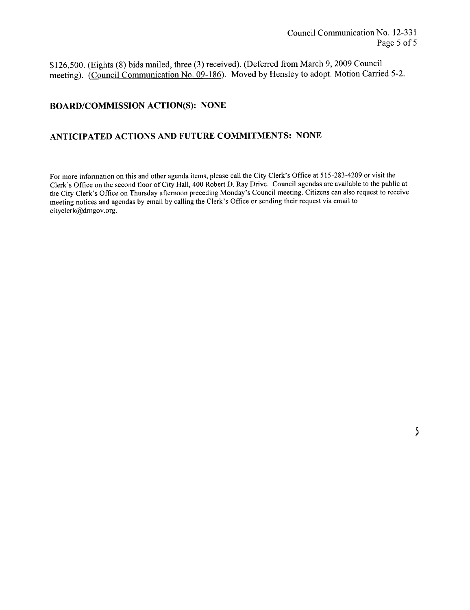\$126,500. (Eights (8) bids mailed, three (3) received). (Deferred from March 9, 2009 Council meeting). (Council Communication No. 09-186). Moved by Hensley to adopt. Motion Carried 5-2.

#### BOARD/COMMISSION ACTION(S): NONE

### ANTICIPATED ACTIONS AND FUTURE COMMITMENTS: NONE

For more information on this and other agenda items, please call the City Clerk's Office at 515-283-4209 or visit the Clerk's Office on the second floor of City Hall, 400 Robert D. Ray Drive. Council agendas are available to the public at the City Clerk's Office on Thursday afternoon preceding Monday's Council meeting. Citizens can also request to receive meeting notices and agendas by email by calling the Clerk's Office or sending their request via email to cityclerk@dmgov.org.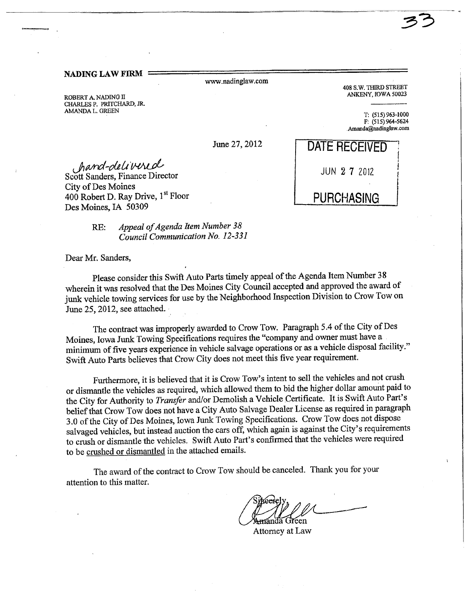#### NADING LAW FIR

ww.nadinglaw.com

ROBERT A. NADING II CHARLES P. PRITCHARD, JR. AMANDA L. GREEN T: (515) 963-1000

408 S.W. THIRD STREET<br>ANKENY, IOWA 50023

:??

F: (515) 964-5624 .Amanda(adinglaw.com

Jiand-delivered<br>Scott Sanders, Finance Director City of Des Moines 400 Robert D. Ray Drive, 1<sup>st</sup> Floor Des Moines, IA 50309

> RE: Appeal of Agenda Item Number 38 Council Communication No. 12-331

Dear Mr. Sanders,

Please consider this Swift Auto Parts timely appeal of the Agenda Item Number 38 wherein it was resolved that the Des Moines City Council accepted and approved the award of junk vehicle towing services for use by the Neighborhood Inspection Division to Crow Tow on June 25, 2012, see attached.

The contract was improperly awarded to Crow Tow. Paragraph 5.4 of the City of Des Moines, Iowa Junk Towing Specifications requires the "company and owner must have a minimum of five years experience in vehicle salvage operations or as a vehicle disposal facilty." Swift Auto Parts believes that Crow City does not meet this five year requirement.

Furhermore, it is believed that it is Crow Tow's intent to sell the vehicles and not crush or dismantle the vehicles as required, which allowed them to bid the higher dollar amount paid to the City for Authority to Transfer and/or Demolish a Vehicle Certificate. It is Swift Auto Part's belief that Crow Tow does not have a City Auto Salvage Dealer License as required in paragraph 3.0 of the City of Des Moines, Iowa Junk Towing Specifications. Crow Tow does not dispose salvaged vehicles, but instead auction the cars off, which again is against the City's requirements to crush or dismantle the vehicles. Swift Auto Part's confirmed that the vehicles were required to be crushed or dismantled in the attached emails.

The award of the contract to Crow Tow should be canceled. Thank you for your attention to this matter.

Attorney at Law

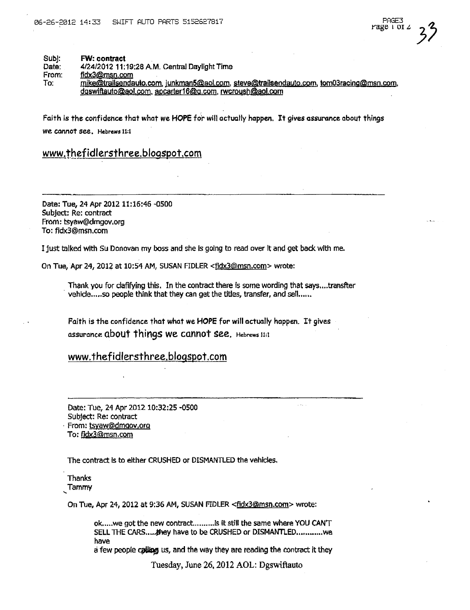#### Subj: **FW: contract**

Date: 4/24/2012 11:19:28 A.M. Central Daylight Time

From: fidx3@msn.com

To:

mike@trailsendauto.com, junkman5@aol.com, steve@trailsendauto.com, tom03racing@msn.com, dgswiftauto@aol.com, apcarter16@g.com, rwcroush@aol.com

Faith is the confidence that what we HOPE for will actually happen. It gives assurance about things we connot see. Hebrews ii:1

#### www.thefidlersthree.blogspot.com

Date: Tue, 24 Apr 2012 11:16:46 -0500 Subject: Re: contract From: tsyaw@dmgov.org To: fidx3@msn.com

I just talked with Su Donovan my boss and she is going to read over it and get back with me.

On Tue, Apr 24, 2012 at 10:54 AM, SUSAN FIDLER <fidx3@msn.com> wrote:

Thank you for clafifying this. In the contract there is some wording that says....transfter vehicle.....so people think that they can get the titles, transfer, and sell......

Faith is the confidence that what we HOPE for will actually happen. It gives assurance about things we cannot see. Hebrews 11:1

#### www.thefidlersthree.blogspot.com

Date: Tue, 24 Apr 2012 10:32:25 -0500 Subject: Re: contract From: tsyaw@dmgov.org To: fidx3@msn.com

The contract is to either CRUSHED or DISMANTLED the vehicles,

Thanks Tammy

On Tue, Apr 24, 2012 at 9:36 AM, SUSAN FIDLER <fidx3@msn.com> wrote:

ok.....we got the new contract........... is it still the same where YOU CANT SELL THE CARS.... they have to be CRUSHED or DISMANTLED............. we have

a few people calling us, and the way they are reading the contract it they

Tuesday, June 26, 2012 AOL: Dgswiftauto

 $\sim 10^{-1}$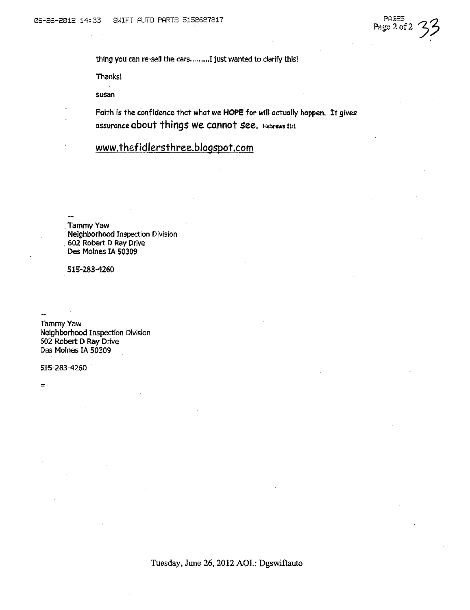PAGE5 Page 2 of 2

thing you can re-sell the cars......... I just wanted to clarify this!

Thanks!

susan

Faith is the confidence that what we HOPE for will actually happen. It gives assurance about things we cannot see. Hebrews 11:1

www.thefidlersthree.blogspot.com

. Tammy Yaw Neighborhood Inspection Division , 602 Robert D Ray Drive Des Moines IA 50309

515-283-4260

rammy Yaw Neighborhood Inspection Division 502 Robert D Ray Drive Des Moines IA 50309

515-283-4260

=

Tuesday, June 26, 2012 AOL: Dgswiftauto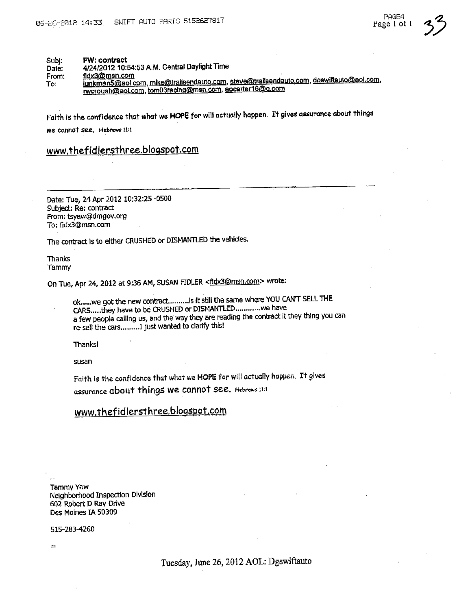Subi: FW: contract

4/24/2012 10:54:53 A.M. Central Daylight Time Date:

fidx3@msn.com From:

junkman5@aol.com, mike@trailsendauto.com, stave@trailsendauto.com, doswiftauto@aol.com, To: rwcroush@aol.com, tom03racing@msn.com, apcarter16@q.com

Faith is the confidence that what we HOPE for will actually happen. It gives assurance about things we cannot see. Hebrews 11:1

www.thefidlersthree.blogspot.com

Date: Tue, 24 Apr 2012 10:32:25 -0500 Subject: Re: contract From: tsyaw@dmgov.org To: fidx3@msn.com

The contract is to either CRUSHED or DISMANTLED the vehicles,

Thanks Tammy

On Tue, Apr 24, 2012 at 9:36 AM, SUSAN FIDLER <fidx3@msn.com> wrote:

ok.....we got the new contract..........Is it still the same where YOU CANT SELL THE CARS.....they have to be CRUSHED or DISMANTLED.............we have a few people calling us, and the way they are reading the contract it they thing you can re-sell the cars......... I just wanted to clarify this!

**Thanks!** 

susan

Faith is the confidence that what we HOPE for will actually happen. It gives assurance about things we cannot see. Hebrews 11:1

## www.thefidlersthree.blogspot.com

Tammy Yaw Neighborhood Inspection Division 602 Robert D Ray Drive Des Moines IA 50309

515-283-4260

 $\rightarrow$ 

Tuesday, June 26, 2012 AOL: Dgswiftauto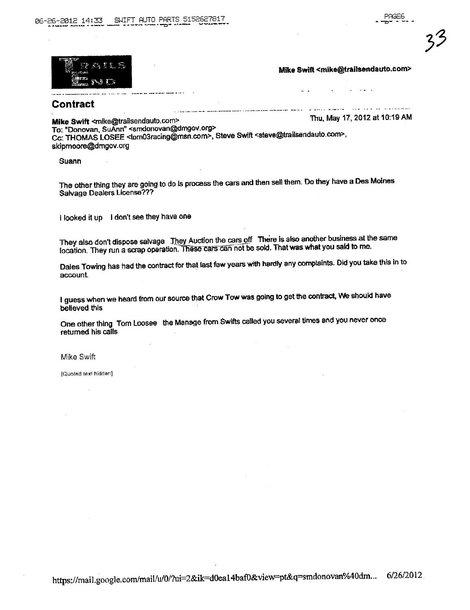

Mike Swift <mike@trailsendauto.com>

 $\sim$   $\sim$ 

#### Contract

Mike Swift <mike@trailsendauto.com>

Thu, May 17, 2012 at 10:19 AM

To: "Donovan, SuAnn" <smdonovan@dmgov.org> Cc: THOMAS LOSEE <tom03racing@msn.com>, Steve Swift <steve@trailsendauto.com>,

skipmoore@dmgov.org

Suann

The other thing they are going to do is process the cars and then sell them. Do they have a Des Moines Salvage Dealers License???

I looked it up I don't see they have one

They also don't dispose salvage They Auction the cars off There is also another business at the same location. They run a scrap operation. These cars can not be sold. That was what you said to me.

Dales Towing has had the contract for that last few years with hardly any complaints. Did you take this in to account.

I guess when we heard from our source that Crow Tow was going to get the contract, We should have believed this

One other thing Tom Loosee the Manage from Swifts called you several times and you never once returned his calls

Mike Swift

[Quoted text hidden]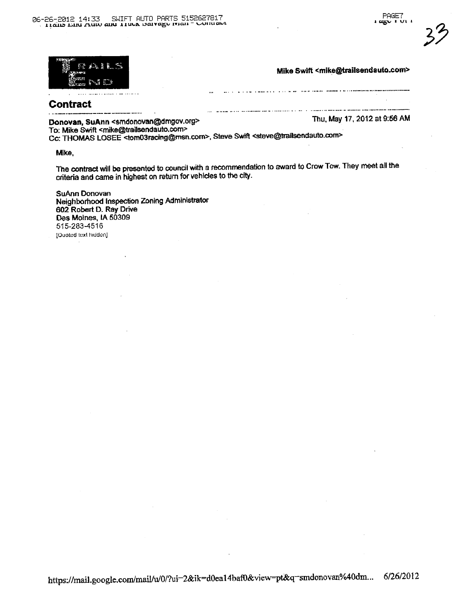

ు గొం

Mike Swift <mike@trailsendauto.com>

ولأستبد

. . . . . . . . . .

I WHAT IS A RETURN OF THE COMMON COMMON TO A COMPANY

## **Contract**

Donovan, SuAnn <smdonovan@dmgov.org>

Thu, May 17, 2012 at 9:56 AM

To: Mike Swift <mike@trailsendauto.com>

Cc: THOMAS LOSEE <tom03racing@msn.com>, Steve Swift <steve@trailsendauto.com>

Mike.

The contract will be presented to council with a recommendation to award to Crow Tow. They meet all the criteria and came in highest on return for vehicles to the city.

SuAnn Donovan Neighborhood Inspection Zoning Administrator 602 Robert D. Ray Drive Des Moines, IA 50309 515-283-4516 [Quoted text hidden]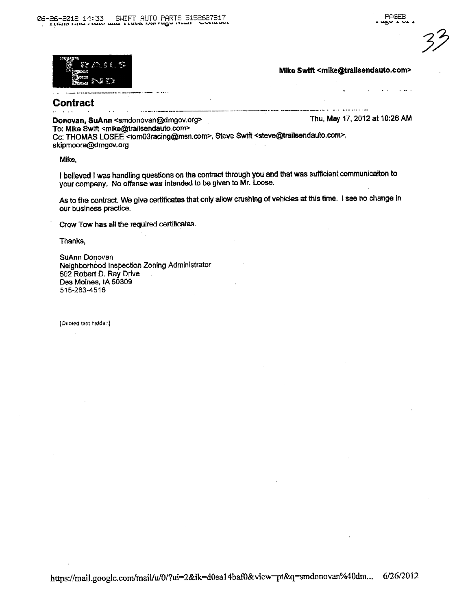$\Delta \sim 10$ 

 $\sim 100$  km  $^{-1}$ 



#### Mike Swift <mike@tralisendauto.com>

**Contract** 

Donovan, SuAnn <smdonovan@dmgov.org>

and communications

Thu, May 17, 2012 at 10:26 AM

To: Mike Swift <mike@trailsendauto.com>

 $\sim$   $\sim$ 

5. 定量

石油 すり

Cc: THOMAS LOSEE <tom03racing@msn.com>, Steve Swift <steve@trailsendauto.com>, skipmoore@dmgov.org

Mike,

I believed I was handling questions on the contract through you and that was sufficient communication to your company. No offense was intended to be given to Mr. Loose.

As to the contract. We give certificates that only allow crushing of vehicles at this time. I see no change in our business practice.

Crow Tow has all the required certificates.

Thanks,

SuAnn Donovan Neighborhood Inspection Zoning Administrator 602 Robert D. Ray Drive Des Moines, IA 50309 515-283-4516

[Quoted text hidden]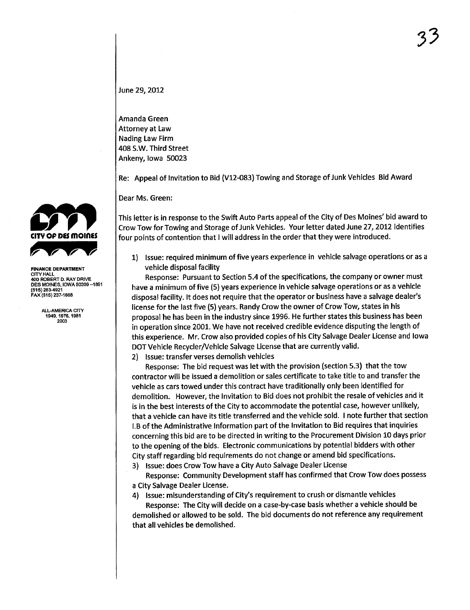June 29, 2012

Amanda Green Attorney at Law Nading Law Firm 408 S.W. Third Street Ankeny, Iowa 50023

Re: Appeal òf Invitation to Bid (V12-083) Towing and Storage of Junk Vehicles Bid Award

Dear Ms. Green:

This letter is in response to the Swift Auto Parts appeal of the City of Des Moines' bid award to Crow Tow for Towing and Storage of Junk Vehicles. Your letter dated June 27, 2012 identifies four points of contention that I will address in the order that they were introduced.

1) Issue: required minimum of five years experience in vehicle salvage operations or as a vehicle disposal facility

Response: Pursuant to Section 5.4 of the specifications, the company or owner must have a minimum of five (5) years experience in vehicle salvage operations or as a vehicle disposal facilty. It does not require that the operator or business have a salvage dealer's license for the last five (5) years. Randy Crow the owner of Crow Tow, states in his proposal he has been in the industry since 1996. He further states this business has been in operation since 2001. We have not received credible evidence disputing the length of this experience. Mr. Crow also provided copies of his City Salvage Dealer License and Iowa DOT Vehicle Recycler/Vehicle Salvage License that are currently valid.

2) Issue: transfer verses demolish vehicles

Response: The bid request was let with the provision (section 5.3) that the tow contractor will be issued a demolition or sales certificate to take title to and transfer the vehicle as cars towed under this contract have traditionally only been identified for demolition. However, the Invitation to Bid does not prohibit the resale of vehicles and it is in the best interests of the City to accommodate the potential case, however unlikely, that a vehicle can have its title transferred and the vehicle sold. I note further that section I.B of the Administrative Information part of the Invitation to Bid requires that inquiries concerning this bid are to be directed in writing to the Procurement Division 10 days prior to the opening of the bids. Electronic communications by potential bidders with other City staff regarding bid requirements do not change or amend bid specifications.

3) Issue: does Crow Tow have a City Auto Salvage Dealer License

Response: Community Development staff has confirmed that Crow Tow does possess a City Salvage Dealer License.

4) Issue: misunderstanding of City's requirement to crush or dismantle vehicles Response: The City will decide on a case-by-case basis whether a vehicle should be demolished or allowed to be sold. The bid documents do not reference any requirement that all vehicles be demolished.



## CITY HALL 400 ROBERT D. RAY DRIVE DES MOINES, IOWA 50309 -1891 (515) 283-921 FAX (515) 237-1668

ALL-AMERICA CITY 1949, 1976, 1981 2003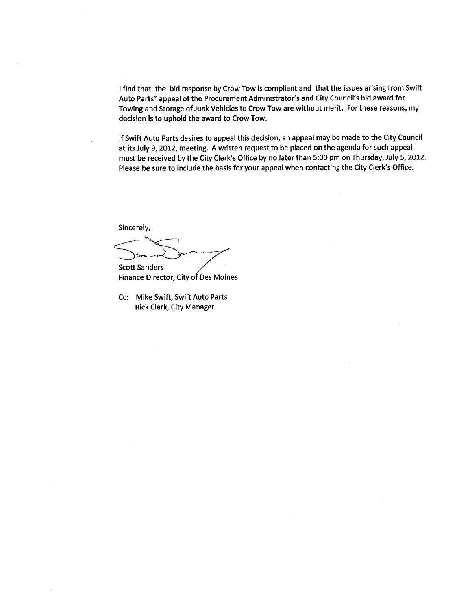I find that the bid response by Crow Tow is compliant and that the issues arising from Swift Auto Parts" appeal of the Procurement Administrator's and City Council's bid award for Towing and Storage of Junk Vehicles to Crow Tow are without merit. For these reasons, my decision is to uphold the award to Crow Tow.

If Swift Auto Parts desires to appeal this decision, an appeal may be made to the City Council at its July 9, 2012, meeting. A written request to be placed on the agenda for such appeal must be received by the City Clerk's Office by no later than 5:00 pm on Thursday, July 5,2012. Please be sure to include the basis for your appeal when contacting the City Clerk's Office.

Sincerely,<br>
Scott Sanders

Finance Director, City of Des Moines

Cc: Mike Swift, Swift Auto Parts Rick Clark, City Manager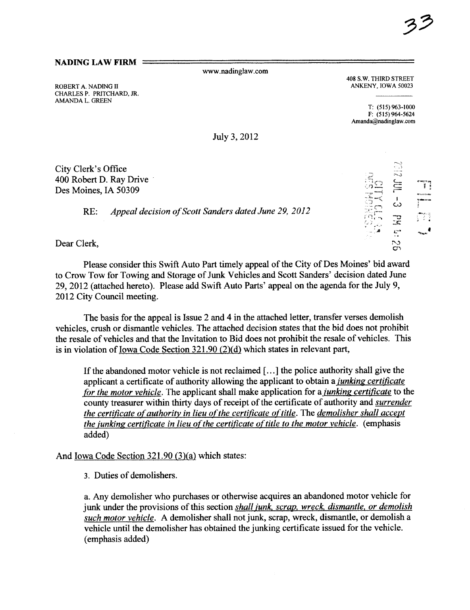#### NADING LAW FIRM  $=$

ww.nadinglaw.com

ROBERT A. NADING II CHARLES P. PRITCHARD, JR. AMDA L. GREEN

408 S.W. THIRD STREET ANKENY, IOWA 50023

T: (515) 963-1000  $F: (515) 964 - 5624$ Amanda@nadinglaw.com

July 3, 2012

City Clerk's Office 400 Robert D. Ray Drive' Des Moines, IA 50309

RE: Appeal decision of Scott Sanders dated June 29, 2012

Dear Clerk,

Please consider this Swift Auto Part timely appeal of the City of Des Moines' bid award to Crow Tow for Towing and Storage of Junk Vehicles and Scott Sanders' decision dated June 29, 2012 (attached hereto). Please add Swift Auto Parts' appeal on the agenda for the July 9, 2012 City Council meeting.

The basis for the appeal is Issue 2 and 4 in the attached letter, transfer verses demolish vehicles, crush or dismantle vehicles. The attached decision states that the bid does not prohibit the resale of vehicles and that the Invitation to Bid does not prohibit the resale of vehicles. This is in violation of Iowa Code Section  $321.90$  (2)(d) which states in relevant part,

If the abandoned motor vehicle is not reclaimed (. ..) the police authority shall give the applicant a certificate of authority allowing the applicant to obtain a *junking certificate* for the motor vehicle. The applicant shall make application for a *junking certificate* to the county treasurer within thirty days of receipt of the certificate of authority and surrender the certificate of authority in lieu of the certificate of title. The demolisher shall accept the junking certificate in lieu of the certificate of title to the motor vehicle. (emphasis added)

And Iowa Code Section 321.90 (3)(a) which states:

3. Duties of demolishers.

a. Any demolisher who purchases or otherwise acquires an abandoned motor vehicle for junk under the provisions of this section shall junk, scrap, wreck, dismantle, or demolish such motor vehicle. A demolisher shall not junk, scrap, wreck, dismantle, or demolish a vehicle until the demolisher has obtained the junking certificate issued for the vehicle. (emphasis added)

|                                                   | m., 3<br>€. S                                                  |    |
|---------------------------------------------------|----------------------------------------------------------------|----|
| $\frac{1}{\sqrt{2}}$<br>$\bigcirc$<br>triga<br>-5 | ⋚<br>دیٔ                                                       | ¥  |
| نسبر<br>Į<br>67<br>Æ                              | $\mathbb{R}^2$<br>فأستع<br>$\stackrel{\textstyle\circ}{\circ}$ | ı. |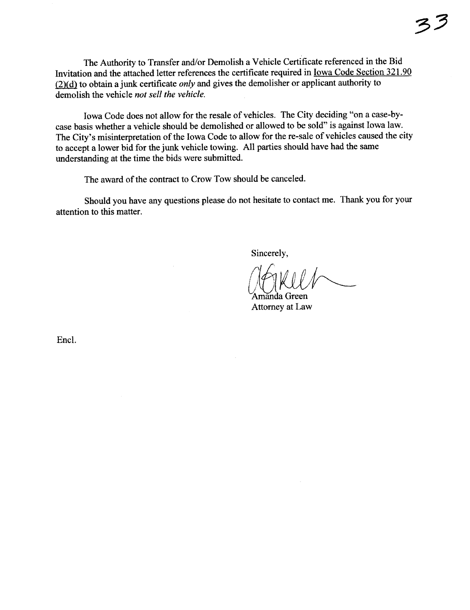The Authority to Transfer and/or Demolish a Vehicle Certificate referenced in the Bid Invitation and the attached letter references the certificate required in <u>Iowa Code Section 321.90</u>  $\frac{1}{2}$  to obtain a junk certificate *only* and gives the demolisher or applicant authority to demolish the vehicle *not sell the vehicle*.

Iowa Code does not allow for the resale of vehicles. The City deciding "on a case-bycase basis whether a vehicle should be demolished or allowed to be sold" is against Iowa law. The City's misinterpretation of the Iowa Code to allow for the re-sale of vehicles caused the city to accept a lower bid for the junk vehicle towing. All parties should have had the same understading at the time the bids were submitted.

The award of the contract to Crow Tow should be canceled.

Should you have any questions please do not hesitate to contact me. Thank you for your attention to this matter.

Sincerely,

Sincerely,<br>
(CKU/

Attorney at Law

Encl.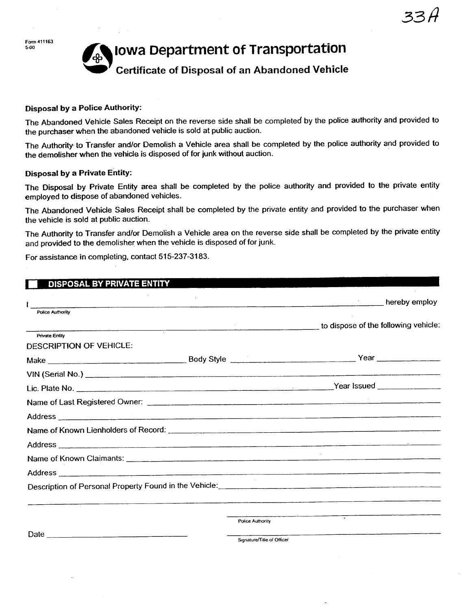Form 411163<br>5-00

# Iowa Department of Transportation

## Certificate of Disposal of an Abandoned Vehicle

#### Disposal by a Police Authority:

The Abandoned Vehicle Sales Receipt on the reverse side shall be completed by the police authonty and provided to the purchaser when the abandoned vehicle is sold at public auction.

The Authority to Transfer and/or Demolish a Vehicle area shall be completed by the police authority and provided to the demolisher when the vehicle is disposed of for junk without auction.

#### Disposal by a Private Entity:

The Disposal by Private Entity area shall be completed by the police authority and provided to the private entity employed to dispose of abandoned vehicles.

The Abandoned Vehicle Sales Receipt shall be completed by the private entity and provided to the purchaser when the vehicle is sold at public auction.

The Authority to Transfer and/or Demolish a Vehicle area on the reverse side shall be completed by the private entity and provided to the demolisher when the vehicle is disposed of for junk.

For assistance in completing, contact 515-237-3183.

| <b>DISPOSAL BY PRIVATE ENTITY</b>                |                  |                                                                                                                 |
|--------------------------------------------------|------------------|-----------------------------------------------------------------------------------------------------------------|
|                                                  |                  | and the preby employ                                                                                            |
| <b>Police Authority</b>                          |                  |                                                                                                                 |
|                                                  |                  | to dispose of the following vehicle:                                                                            |
| <b>Private Entity</b><br>DESCRIPTION OF VEHICLE: |                  |                                                                                                                 |
|                                                  |                  | Make Year Year New Year                                                                                         |
|                                                  |                  |                                                                                                                 |
|                                                  |                  |                                                                                                                 |
|                                                  |                  |                                                                                                                 |
|                                                  |                  |                                                                                                                 |
|                                                  |                  |                                                                                                                 |
|                                                  |                  |                                                                                                                 |
|                                                  |                  |                                                                                                                 |
|                                                  |                  |                                                                                                                 |
|                                                  |                  |                                                                                                                 |
|                                                  |                  |                                                                                                                 |
|                                                  | Police Authority | the contract of the contract of the contract of the contract of the contract of the contract of the contract of |
|                                                  |                  |                                                                                                                 |
|                                                  |                  | Signature/Title of Officer                                                                                      |